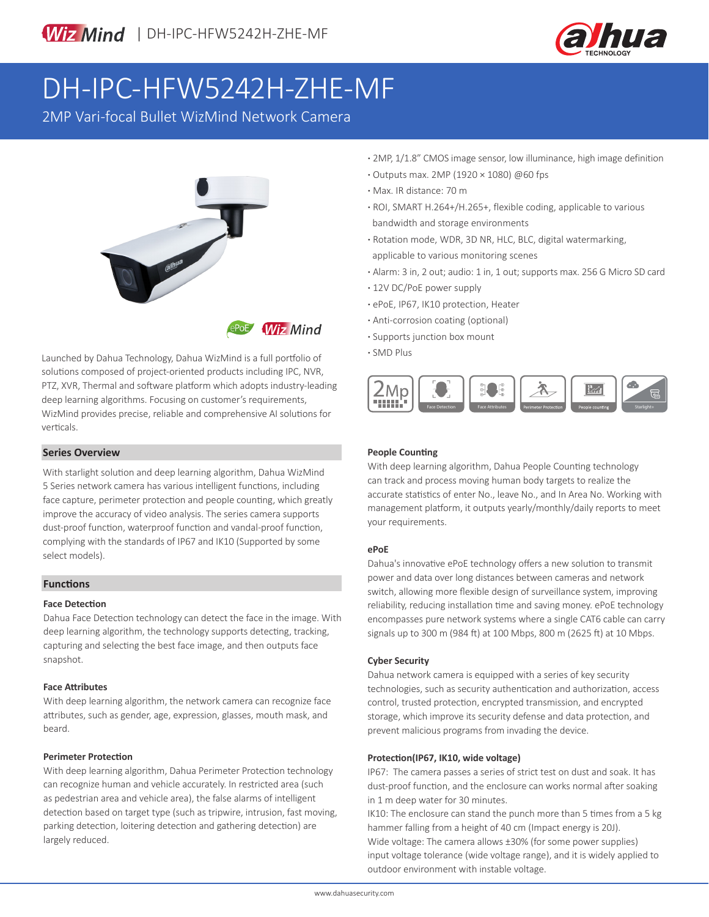

# DH-IPC-HFW5242H-ZHE-MF

2MP Vari-focal Bullet WizMind Network Camera



Launched by Dahua Technology, Dahua WizMind is a full portfolio of solutions composed of project-oriented products including IPC, NVR, PTZ, XVR, Thermal and software platform which adopts industry-leading deep learning algorithms. Focusing on customer's requirements, WizMind provides precise, reliable and comprehensive AI solutions for verticals.

#### **Series Overview**

With starlight solution and deep learning algorithm, Dahua WizMind 5 Series network camera has various intelligent functions, including face capture, perimeter protection and people counting, which greatly improve the accuracy of video analysis. The series camera supports dust-proof function, waterproof function and vandal-proof function, complying with the standards of IP67 and IK10 (Supported by some select models).

#### **Functions**

#### **Face Detection**

Dahua Face Detection technology can detect the face in the image. With deep learning algorithm, the technology supports detecting, tracking, capturing and selecting the best face image, and then outputs face snapshot.

#### **Face Attributes**

With deep learning algorithm, the network camera can recognize face attributes, such as gender, age, expression, glasses, mouth mask, and beard.

#### **Perimeter Protection**

With deep learning algorithm, Dahua Perimeter Protection technology can recognize human and vehicle accurately. In restricted area (such as pedestrian area and vehicle area), the false alarms of intelligent detection based on target type (such as tripwire, intrusion, fast moving, parking detection, loitering detection and gathering detection) are largely reduced.

- **·** 2MP, 1/1.8" CMOS image sensor, low illuminance, high image definition
- **·** Outputs max. 2MP (1920 × 1080) @60 fps
- **·** Max. IR distance: 70 m
- **·** ROI, SMART H.264+/H.265+, flexible coding, applicable to various bandwidth and storage environments
- **·** Rotation mode, WDR, 3D NR, HLC, BLC, digital watermarking, applicable to various monitoring scenes
- **·** Alarm: 3 in, 2 out; audio: 1 in, 1 out; supports max. 256 G Micro SD card
- **·** 12V DC/PoE power supply
- **·** ePoE, IP67, IK10 protection, Heater
- **·** Anti-corrosion coating (optional)
- **·** Supports junction box mount
- **·** SMD Plus



#### **People Counting**

With deep learning algorithm, Dahua People Counting technology can track and process moving human body targets to realize the accurate statistics of enter No., leave No., and In Area No. Working with management platform, it outputs yearly/monthly/daily reports to meet your requirements.

#### **ePoE**

Dahua's innovative ePoE technology offers a new solution to transmit power and data over long distances between cameras and network switch, allowing more flexible design of surveillance system, improving reliability, reducing installation time and saving money. ePoE technology encompasses pure network systems where a single CAT6 cable can carry signals up to 300 m (984 ft) at 100 Mbps, 800 m (2625 ft) at 10 Mbps.

#### **Cyber Security**

Dahua network camera is equipped with a series of key security technologies, such as security authentication and authorization, access control, trusted protection, encrypted transmission, and encrypted storage, which improve its security defense and data protection, and prevent malicious programs from invading the device.

#### **Protection(IP67, IK10, wide voltage)**

IP67: The camera passes a series of strict test on dust and soak. It has dust-proof function, and the enclosure can works normal after soaking in 1 m deep water for 30 minutes.

IK10: The enclosure can stand the punch more than 5 times from a 5 kg hammer falling from a height of 40 cm (Impact energy is 20J). Wide voltage: The camera allows ±30% (for some power supplies) input voltage tolerance (wide voltage range), and it is widely applied to outdoor environment with instable voltage.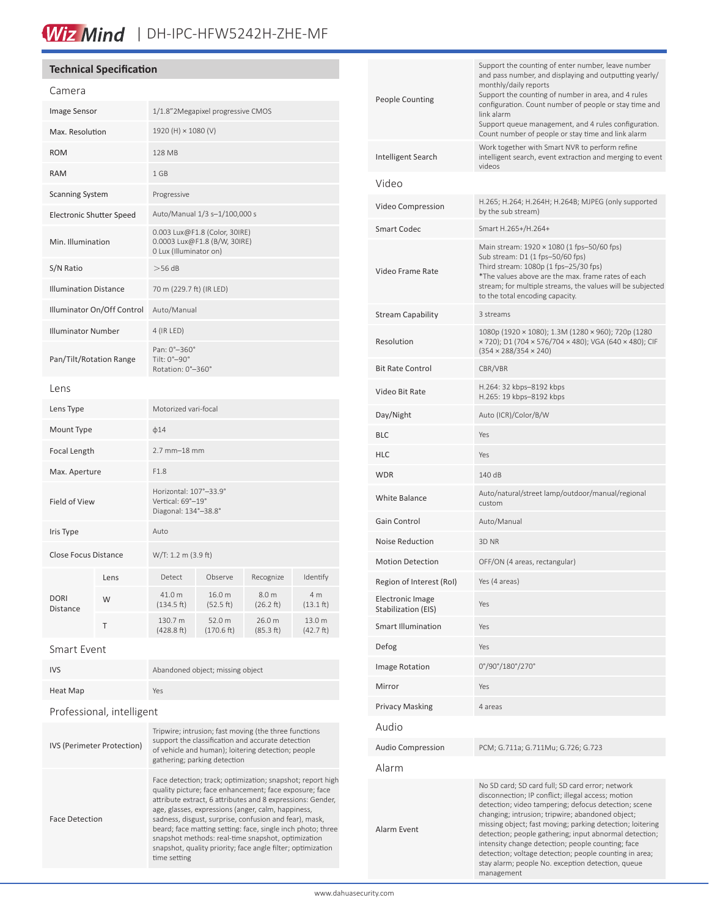# Wiz Mind | DH-IPC-HFW5242H-ZHE-MF

### **Technical Specification**

| Camera                          |      |                                                                                         |                      |                              |                            |
|---------------------------------|------|-----------------------------------------------------------------------------------------|----------------------|------------------------------|----------------------------|
| Image Sensor                    |      | 1/1.8"2Megapixel progressive CMOS                                                       |                      |                              |                            |
| Max. Resolution                 |      | 1920 (H) × 1080 (V)                                                                     |                      |                              |                            |
| <b>ROM</b>                      |      | 128 MB                                                                                  |                      |                              |                            |
| <b>RAM</b>                      |      | 1 GB                                                                                    |                      |                              |                            |
| <b>Scanning System</b>          |      | Progressive                                                                             |                      |                              |                            |
| <b>Electronic Shutter Speed</b> |      | Auto/Manual 1/3 s-1/100,000 s                                                           |                      |                              |                            |
| Min. Illumination               |      | 0.003 Lux@F1.8 (Color, 30IRE)<br>0.0003 Lux@F1.8 (B/W, 30IRE)<br>0 Lux (Illuminator on) |                      |                              |                            |
| S/N Ratio                       |      | >56 dB                                                                                  |                      |                              |                            |
| <b>Illumination Distance</b>    |      | 70 m (229.7 ft) (IR LED)                                                                |                      |                              |                            |
| Illuminator On/Off Control      |      | Auto/Manual                                                                             |                      |                              |                            |
| <b>Illuminator Number</b>       |      | 4 (IR LED)                                                                              |                      |                              |                            |
| Pan/Tilt/Rotation Range         |      | Pan: 0°-360°<br>Tilt: 0°-90°<br>Rotation: 0°-360°                                       |                      |                              |                            |
| Lens                            |      |                                                                                         |                      |                              |                            |
| Lens Type                       |      | Motorized vari-focal                                                                    |                      |                              |                            |
| Mount Type                      |      | $\phi$ 14                                                                               |                      |                              |                            |
| Focal Length                    |      | 2.7 mm-18 mm                                                                            |                      |                              |                            |
| Max. Aperture                   |      | F1.8                                                                                    |                      |                              |                            |
| Field of View                   |      | Horizontal: 107°-33.9°<br>Vertical: 69°-19°<br>Diagonal: 134°-38.8°                     |                      |                              |                            |
| Iris Type                       |      | Auto                                                                                    |                      |                              |                            |
| Close Focus Distance            |      | W/T: 1.2 m (3.9 ft)                                                                     |                      |                              |                            |
| <b>DORI</b><br>Distance         | Lens | Detect                                                                                  | Observe              | Recognize                    | Identify                   |
|                                 | W    | 41.0 m<br>(134.5 ft)                                                                    | 16.0 m<br>(52.5 ft)  | 8.0 m<br>$(26.2 \text{ ft})$ | 4 m<br>$(13.1 \text{ ft})$ |
|                                 | Т    | 130.7 m<br>(428.8 ft)                                                                   | 52.0 m<br>(170.6 ft) | 26.0 m<br>(85.3 ft)          | 13.0 m<br>(42.7 ft)        |
|                                 |      |                                                                                         |                      |                              |                            |

Smart Event

| <b>IVS</b> | Abandoned object; missing object |
|------------|----------------------------------|
| Heat Map   | Yes                              |

### Professional, intelligent

| <b>IVS (Perimeter Protection)</b> | Tripwire; intrusion; fast moving (the three functions<br>support the classification and accurate detection<br>of vehicle and human); loitering detection; people<br>gathering; parking detection                                                                                                                                                                                                                                                                                                       |
|-----------------------------------|--------------------------------------------------------------------------------------------------------------------------------------------------------------------------------------------------------------------------------------------------------------------------------------------------------------------------------------------------------------------------------------------------------------------------------------------------------------------------------------------------------|
| <b>Face Detection</b>             | Face detection; track; optimization; snapshot; report high<br>quality picture; face enhancement; face exposure; face<br>attribute extract, 6 attributes and 8 expressions: Gender,<br>age, glasses, expressions (anger, calm, happiness,<br>sadness, disgust, surprise, confusion and fear), mask,<br>beard; face matting setting: face, single inch photo; three<br>snapshot methods: real-time snapshot, optimization<br>snapshot, quality priority; face angle filter; optimization<br>time setting |

| <b>People Counting</b>                         | Support the counting of enter number, leave number<br>and pass number, and displaying and outputting yearly/<br>monthly/daily reports<br>Support the counting of number in area, and 4 rules<br>configuration. Count number of people or stay time and<br>link alarm<br>Support queue management, and 4 rules configuration.<br>Count number of people or stay time and link alarm                                                                                                                                          |
|------------------------------------------------|-----------------------------------------------------------------------------------------------------------------------------------------------------------------------------------------------------------------------------------------------------------------------------------------------------------------------------------------------------------------------------------------------------------------------------------------------------------------------------------------------------------------------------|
| Intelligent Search                             | Work together with Smart NVR to perform refine<br>intelligent search, event extraction and merging to event<br>videos                                                                                                                                                                                                                                                                                                                                                                                                       |
| Video                                          |                                                                                                                                                                                                                                                                                                                                                                                                                                                                                                                             |
| Video Compression                              | H.265; H.264; H.264H; H.264B; MJPEG (only supported<br>by the sub stream)                                                                                                                                                                                                                                                                                                                                                                                                                                                   |
| <b>Smart Codec</b>                             | Smart H.265+/H.264+                                                                                                                                                                                                                                                                                                                                                                                                                                                                                                         |
| Video Frame Rate                               | Main stream: 1920 × 1080 (1 fps-50/60 fps)<br>Sub stream: D1 (1 fps-50/60 fps)<br>Third stream: 1080p (1 fps-25/30 fps)<br>*The values above are the max. frame rates of each<br>stream; for multiple streams, the values will be subjected<br>to the total encoding capacity.                                                                                                                                                                                                                                              |
| Stream Capability                              | 3 streams                                                                                                                                                                                                                                                                                                                                                                                                                                                                                                                   |
| Resolution                                     | 1080p (1920 × 1080); 1.3M (1280 × 960); 720p (1280<br>× 720); D1 (704 × 576/704 × 480); VGA (640 × 480); CIF<br>$(354 \times 288/354 \times 240)$                                                                                                                                                                                                                                                                                                                                                                           |
| <b>Bit Rate Control</b>                        | CBR/VBR                                                                                                                                                                                                                                                                                                                                                                                                                                                                                                                     |
| Video Bit Rate                                 | H.264: 32 kbps-8192 kbps<br>H.265: 19 kbps-8192 kbps                                                                                                                                                                                                                                                                                                                                                                                                                                                                        |
| Day/Night                                      | Auto (ICR)/Color/B/W                                                                                                                                                                                                                                                                                                                                                                                                                                                                                                        |
| BLC                                            | Yes                                                                                                                                                                                                                                                                                                                                                                                                                                                                                                                         |
| HLC                                            | Yes                                                                                                                                                                                                                                                                                                                                                                                                                                                                                                                         |
| WDR                                            | 140 dB                                                                                                                                                                                                                                                                                                                                                                                                                                                                                                                      |
| White Balance                                  | Auto/natural/street lamp/outdoor/manual/regional<br>custom                                                                                                                                                                                                                                                                                                                                                                                                                                                                  |
| Gain Control                                   | Auto/Manual                                                                                                                                                                                                                                                                                                                                                                                                                                                                                                                 |
| <b>Noise Reduction</b>                         | 3D <sub>NR</sub>                                                                                                                                                                                                                                                                                                                                                                                                                                                                                                            |
| <b>Motion Detection</b>                        | OFF/ON (4 areas, rectangular)                                                                                                                                                                                                                                                                                                                                                                                                                                                                                               |
| Region of Interest (RoI)                       | Yes (4 areas)                                                                                                                                                                                                                                                                                                                                                                                                                                                                                                               |
| <b>Electronic Image</b><br>Stabilization (EIS) | Yes                                                                                                                                                                                                                                                                                                                                                                                                                                                                                                                         |
| <b>Smart Illumination</b>                      | Yes                                                                                                                                                                                                                                                                                                                                                                                                                                                                                                                         |
| Defog                                          | Yes                                                                                                                                                                                                                                                                                                                                                                                                                                                                                                                         |
| Image Rotation                                 | 0°/90°/180°/270°                                                                                                                                                                                                                                                                                                                                                                                                                                                                                                            |
| Mirror                                         | Yes                                                                                                                                                                                                                                                                                                                                                                                                                                                                                                                         |
| <b>Privacy Masking</b>                         | 4 areas                                                                                                                                                                                                                                                                                                                                                                                                                                                                                                                     |
| Audio                                          |                                                                                                                                                                                                                                                                                                                                                                                                                                                                                                                             |
| <b>Audio Compression</b>                       | PCM; G.711a; G.711Mu; G.726; G.723                                                                                                                                                                                                                                                                                                                                                                                                                                                                                          |
| Alarm                                          |                                                                                                                                                                                                                                                                                                                                                                                                                                                                                                                             |
| Alarm Event                                    | No SD card; SD card full; SD card error; network<br>disconnection; IP conflict; illegal access; motion<br>detection; video tampering; defocus detection; scene<br>changing; intrusion; tripwire; abandoned object;<br>missing object; fast moving; parking detection; loitering<br>detection; people gathering; input abnormal detection;<br>intensity change detection; people counting; face<br>detection; voltage detection; people counting in area;<br>stay alarm; people No. exception detection, queue<br>management |